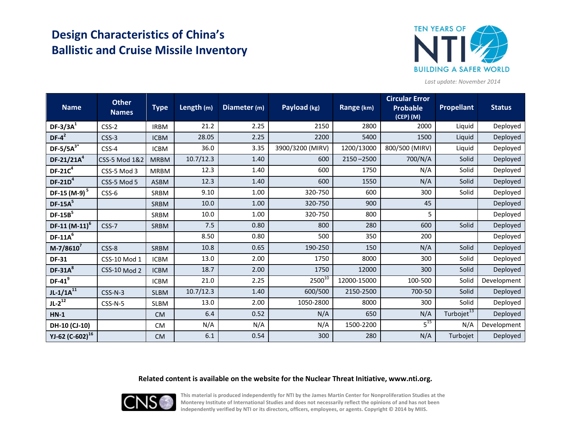# **Design Characteristics of China's Ballistic and Cruise Missile Inventory**



*Last update: November 2014*

| <b>Name</b>              | <b>Other</b><br><b>Names</b> | <b>Type</b> | Length (m) | Diameter (m) | Payload (kg)     | Range (km)    | <b>Circular Error</b><br><b>Probable</b><br>(CEP) (M) | <b>Propellant</b>      | <b>Status</b> |
|--------------------------|------------------------------|-------------|------------|--------------|------------------|---------------|-------------------------------------------------------|------------------------|---------------|
| $DF-3/3A^1$              | $CSS-2$                      | <b>IRBM</b> | 21.2       | 2.25         | 2150             | 2800          | 2000                                                  | Liquid                 | Deployed      |
| $DF-4^2$                 | $CSS-3$                      | <b>ICBM</b> | 28.05      | 2.25         | 2200             | 5400          | 1500                                                  | Liquid                 | Deployed      |
| DF-5/5 $A^{3*}$          | $CSS-4$                      | <b>ICBM</b> | 36.0       | 3.35         | 3900/3200 (MIRV) | 1200/13000    | 800/500 (MIRV)                                        | Liquid                 | Deployed      |
| $DF-21/21A4$             | CSS-5 Mod 1&2                | <b>MRBM</b> | 10.7/12.3  | 1.40         | 600              | $2150 - 2500$ | 700/N/A                                               | Solid                  | Deployed      |
| $DF-21C4$                | CSS-5 Mod 3                  | <b>MRBM</b> | 12.3       | 1.40         | 600              | 1750          | N/A                                                   | Solid                  | Deployed      |
| $DF-21D4$                | CSS-5 Mod 5                  | <b>ASBM</b> | 12.3       | 1.40         | 600              | 1550          | N/A                                                   | Solid                  | Deployed      |
| DF-15 (M-9) <sup>5</sup> | CSS-6                        | <b>SRBM</b> | 9.10       | 1.00         | 320-750          | 600           | 300                                                   | Solid                  | Deployed      |
| $DF-15A5$                |                              | <b>SRBM</b> | 10.0       | 1.00         | 320-750          | 900           | 45                                                    |                        | Deployed      |
| $DF-15B5$                |                              | <b>SRBM</b> | 10.0       | 1.00         | 320-750          | 800           | 5                                                     |                        | Deployed      |
| $DF-11 (M-11)^6$         | CSS-7                        | <b>SRBM</b> | 7.5        | 0.80         | 800              | 280           | 600                                                   | Solid                  | Deployed      |
| $DF-11A^6$               |                              |             | 8.50       | 0.80         | 500              | 350           | 200                                                   |                        | Deployed      |
| $M-7/8610^7$             | CSS-8                        | <b>SRBM</b> | 10.8       | 0.65         | 190-250          | 150           | N/A                                                   | Solid                  | Deployed      |
| <b>DF-31</b>             | CSS-10 Mod 1                 | <b>ICBM</b> | 13.0       | 2.00         | 1750             | 8000          | 300                                                   | Solid                  | Deployed      |
| $DF-31A^8$               | <b>CSS-10 Mod 2</b>          | <b>ICBM</b> | 18.7       | 2.00         | 1750             | 12000         | 300                                                   | Solid                  | Deployed      |
| $DF-41^9$                |                              | <b>ICBM</b> | 21.0       | 2.25         | $2500^{10}$      | 12000-15000   | 100-500                                               | Solid                  | Development   |
| $JL-1/1A^{11}$           | $CSS-N-3$                    | <b>SLBM</b> | 10.7/12.3  | 1.40         | 600/500          | 2150-2500     | 700-50                                                | Solid                  | Deployed      |
| $JL-2^{12}$              | $CSS-N-5$                    | <b>SLBM</b> | 13.0       | 2.00         | 1050-2800        | 8000          | 300                                                   | Solid                  | Deployed      |
| $HN-1$                   |                              | <b>CM</b>   | 6.4        | 0.52         | N/A              | 650           | N/A                                                   | Turbojet <sup>13</sup> | Deployed      |
| DH-10 (CJ-10)            |                              | <b>CM</b>   | N/A        | N/A          | N/A              | 1500-2200     | $5^{15}$                                              | N/A                    | Development   |
| YJ-62 $(C-602)^{16}$     |                              | <b>CM</b>   | 6.1        | 0.54         | 300              | 280           | N/A                                                   | Turbojet               | Deployed      |

#### **Related content is available on the website for the Nuclear Threat Initiative, www.nti.org.**



**This material is produced independently for NTI by the James Martin Center for Nonproliferation Studies at the Monterey Institute of International Studies and does not necessarily reflect the opinions of and has not been independently verified by NTI or its directors, officers, employees, or agents. Copyright © 2014 by MIIS.**